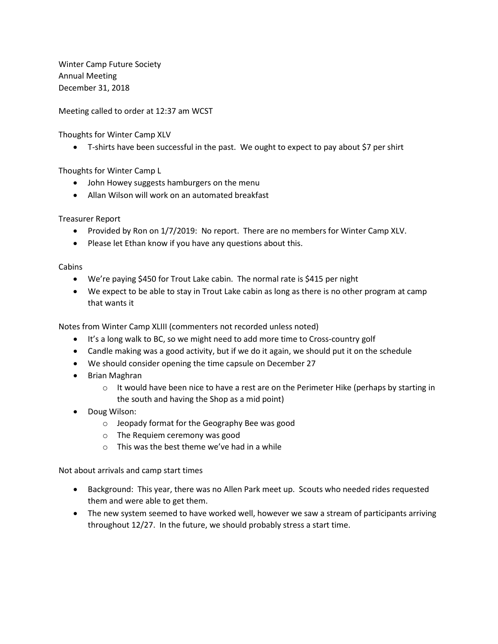Winter Camp Future Society Annual Meeting December 31, 2018

Meeting called to order at 12:37 am WCST

Thoughts for Winter Camp XLV

• T-shirts have been successful in the past. We ought to expect to pay about \$7 per shirt

Thoughts for Winter Camp L

- John Howey suggests hamburgers on the menu
- Allan Wilson will work on an automated breakfast

Treasurer Report

- Provided by Ron on 1/7/2019: No report. There are no members for Winter Camp XLV.
- Please let Ethan know if you have any questions about this.

Cabins

- We're paying \$450 for Trout Lake cabin. The normal rate is \$415 per night
- We expect to be able to stay in Trout Lake cabin as long as there is no other program at camp that wants it

Notes from Winter Camp XLIII (commenters not recorded unless noted)

- It's a long walk to BC, so we might need to add more time to Cross-country golf
- Candle making was a good activity, but if we do it again, we should put it on the schedule
- We should consider opening the time capsule on December 27
- Brian Maghran
	- $\circ$  It would have been nice to have a rest are on the Perimeter Hike (perhaps by starting in the south and having the Shop as a mid point)
- Doug Wilson:
	- o Jeopady format for the Geography Bee was good
	- o The Requiem ceremony was good
	- o This was the best theme we've had in a while

Not about arrivals and camp start times

- Background: This year, there was no Allen Park meet up. Scouts who needed rides requested them and were able to get them.
- The new system seemed to have worked well, however we saw a stream of participants arriving throughout 12/27. In the future, we should probably stress a start time.